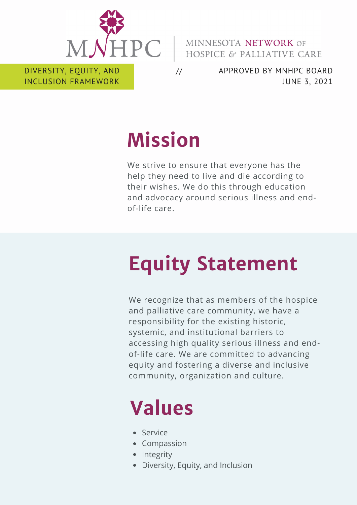

MINNESOTA NETWORK OF HOSPICE & PALLIATIVE CARE

DIVERSITY, EQUITY, AND INCLUSION FRAMEWORK

APPROVED BY MNHPC BOARD JUNE 3, 2021

# **Mission**

//

We strive to ensure that everyone has the help they need to live and die according to their wishes. We do this through education and advocacy around serious illness and endof-life care.

# **Equity Statement**

We recognize that as members of the hospice and palliative care community, we have a responsibility for the existing historic, systemic, and institutional barriers to accessing high quality serious illness and endof-life care. We are committed to advancing equity and fostering a diverse and inclusive community, organization and culture.

# **Values**

- Service
- Compassion
- Integrity
- Diversity, Equity, and Inclusion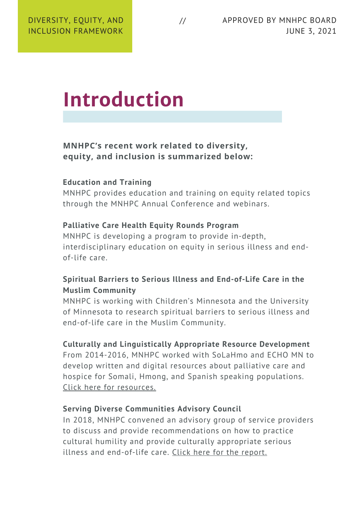## **Introduction**

**MNHPC's recent work related to diversity, equity, and inclusion is summarized below:**

#### **Education and Training**

MNHPC provides education and training on equity related topics through the MNHPC Annual Conference and webinars.

#### **Palliative Care Health Equity Rounds Program**

MNHPC is developing a program to provide in-depth, interdisciplinary education on equity in serious illness and endof-life care.

#### **Spiritual Barriers to Serious Illness and End-of-Life Care in the Muslim Community**

MNHPC is working with Children's Minnesota and the University of Minnesota to research spiritual barriers to serious illness and end-of-life care in the Muslim Community.

#### **Culturally and Linguistically Appropriate Resource Development**

From 2014-2016, MNHPC worked with SoLaHmo and ECHO MN to develop written and digital resources about palliative care and hospice for Somali, Hmong, and Spanish speaking populations. Click here for [resources.](https://www.mnhpc.org/multicultural-resources)

#### **Serving Diverse Communities Advisory Council**

In 2018, MNHPC convened an advisory group of service providers to discuss and provide recommendations on how to practice cultural humility and provide culturally appropriate serious illness and end-of-life care. Click here for the [report.](https://drive.google.com/file/d/1iQwoNmRzJpuq1iejbC-qwImGpx4k5aIy/view)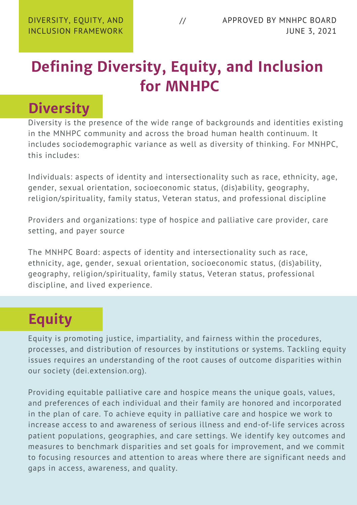### **Defining Diversity, Equity, and Inclusion for MNHPC**

### **Diversity**

Diversity is the presence of the wide range of backgrounds and identities existing in the MNHPC community and across the broad human health continuum. It includes sociodemographic variance as well as diversity of thinking. For MNHPC, this includes:

Individuals: aspects of identity and intersectionality such as race, ethnicity, age, gender, sexual orientation, socioeconomic status, (dis)ability, geography, religion/spirituality, family status, Veteran status, and professional discipline

Providers and organizations: type of hospice and palliative care provider, care setting, and payer source

The MNHPC Board: aspects of identity and intersectionality such as race, ethnicity, age, gender, sexual orientation, socioeconomic status, (dis)ability, geography, religion/spirituality, family status, Veteran status, professional discipline, and lived experience.

### **Equity**

Equity is promoting justice, impartiality, and fairness within the procedures, processes, and distribution of resources by institutions or systems. Tackling equity issues requires an understanding of the root causes of outcome disparities within our society (dei.extension.org).

Providing equitable palliative care and hospice means the unique goals, values, and preferences of each individual and their family are honored and incorporated in the plan of care. To achieve equity in palliative care and hospice we work to increase access to and awareness of serious illness and end-of-life services across patient populations, geographies, and care settings. We identify key outcomes and measures to benchmark disparities and set goals for improvement, and we commit to focusing resources and attention to areas where there are significant needs and gaps in access, awareness, and quality.

//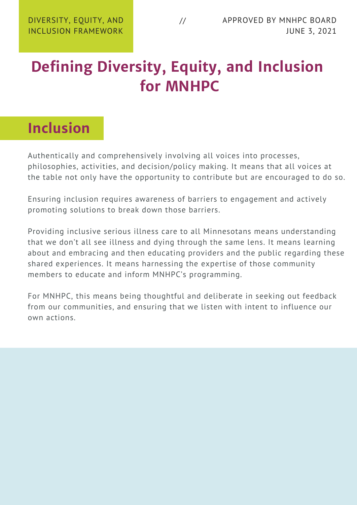### **Defining Diversity, Equity, and Inclusion for MNHPC**

### **Inclusion**

Authentically and comprehensively involving all voices into processes, philosophies, activities, and decision/policy making. It means that all voices at the table not only have the opportunity to contribute but are encouraged to do so.

Ensuring inclusion requires awareness of barriers to engagement and actively promoting solutions to break down those barriers.

Providing inclusive serious illness care to all Minnesotans means understanding that we don't all see illness and dying through the same lens. It means learning about and embracing and then educating providers and the public regarding these shared experiences. It means harnessing the expertise of those community members to educate and inform MNHPC's programming.

For MNHPC, this means being thoughtful and deliberate in seeking out feedback from our communities, and ensuring that we listen with intent to influence our own actions.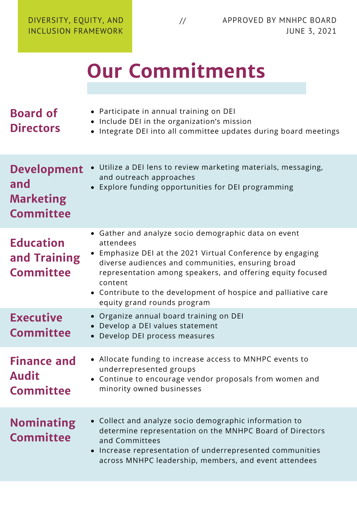# **Our Commitments**

| <b>Board of</b><br><b>Directors</b>                               | • Participate in annual training on DEI<br>• Include DEI in the organization's mission<br>• Integrate DEI into all committee updates during board meetings                                                                                                                                                                                                     |
|-------------------------------------------------------------------|----------------------------------------------------------------------------------------------------------------------------------------------------------------------------------------------------------------------------------------------------------------------------------------------------------------------------------------------------------------|
| <b>Development</b><br>and<br><b>Marketing</b><br><b>Committee</b> | Utilize a DEI lens to review marketing materials, messaging,<br>and outreach approaches<br>Explore funding opportunities for DEI programming                                                                                                                                                                                                                   |
| <b>Education</b><br>and Training<br><b>Committee</b>              | • Gather and analyze socio demographic data on event<br>attendees<br>• Emphasize DEI at the 2021 Virtual Conference by engaging<br>diverse audiences and communities, ensuring broad<br>representation among speakers, and offering equity focused<br>content<br>• Contribute to the development of hospice and palliative care<br>equity grand rounds program |
| <b>Executive</b><br><b>Committee</b>                              | • Organize annual board training on DEI<br>Develop a DEI values statement<br>Develop DEI process measures                                                                                                                                                                                                                                                      |
| <b>Finance and</b><br><b>Audit</b><br><b>Committee</b>            | • Allocate funding to increase access to MNHPC events to<br>underrepresented groups<br>• Continue to encourage vendor proposals from women and<br>minority owned businesses                                                                                                                                                                                    |
| <b>Nominating</b><br><b>Committee</b>                             | • Collect and analyze socio demographic information to<br>determine representation on the MNHPC Board of Directors<br>and Committees<br>Increase representation of underrepresented communities<br>across MNHPC leadership, members, and event attendees                                                                                                       |